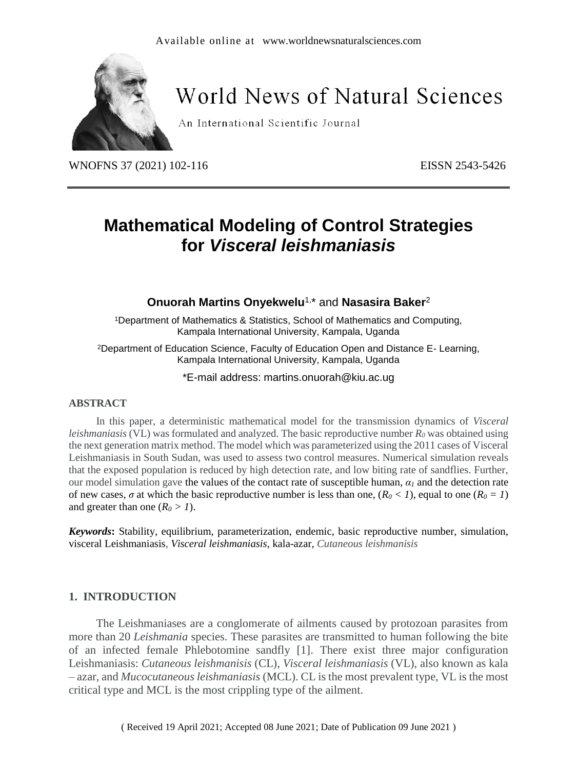

# **World News of Natural Sciences**

An International Scientific Journal

WNOFNS 37 (2021) 102-116 EISSN 2543-5426

## **Mathematical Modeling of Control Strategies for** *Visceral leishmaniasis*

## **Onuorah Martins Onyekwelu**1,\* and **Nasasira Baker**<sup>2</sup>

<sup>1</sup>Department of Mathematics & Statistics, School of Mathematics and Computing, Kampala International University, Kampala, Uganda

<sup>2</sup>Department of Education Science, Faculty of Education Open and Distance E- Learning, Kampala International University, Kampala, Uganda

\*E-mail address: martins.onuorah@kiu.ac.ug

## **ABSTRACT**

In this paper, a deterministic mathematical model for the transmission dynamics of *Visceral leishmaniasis* (VL) was formulated and analyzed. The basic reproductive number *R<sup>0</sup>* was obtained using the next generation matrix method. The model which was parameterized using the 2011 cases of Visceral Leishmaniasis in South Sudan, was used to assess two control measures. Numerical simulation reveals that the exposed population is reduced by high detection rate, and low biting rate of sandflies. Further, our model simulation gave the values of the contact rate of susceptible human,  $\alpha_l$  and the detection rate of new cases,  $\sigma$  at which the basic reproductive number is less than one,  $(R_0 < 1)$ , equal to one  $(R_0 = 1)$ and greater than one  $(R_0 > 1)$ .

*Keywords***:** Stability, equilibrium, parameterization, endemic, basic reproductive number, simulation, visceral Leishmaniasis, *Visceral leishmaniasis*, kala-azar, *Cutaneous leishmanisis*

## **1. INTRODUCTION**

The Leishmaniases are a conglomerate of ailments caused by protozoan parasites from more than 20 *Leishmania* species. These parasites are transmitted to human following the bite of an infected female Phlebotomine sandfly [1]. There exist three major configuration Leishmaniasis: *Cutaneous leishmanisis* (CL), *Visceral leishmaniasis* (VL), also known as kala – azar, and *Mucocutaneous leishmaniasis* (MCL). CL is the most prevalent type, VL is the most critical type and MCL is the most crippling type of the ailment.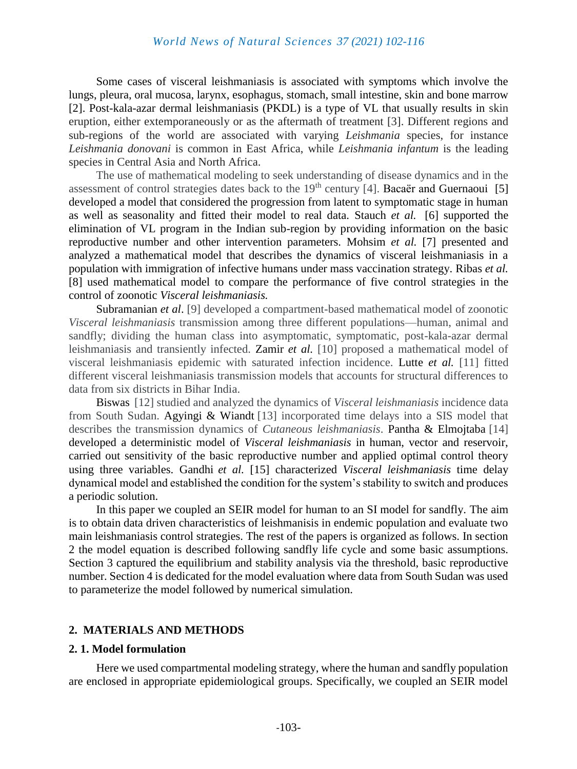## *World News of Natural Sciences 37 (2021) 102-116*

Some cases of visceral leishmaniasis is associated with symptoms which involve the lungs, pleura, oral mucosa, larynx, esophagus, stomach, small intestine, skin and bone marrow [2]. Post-kala-azar dermal leishmaniasis (PKDL) is a type of VL that usually results in skin eruption, either extemporaneously or as the aftermath of treatment [3]. Different regions and sub-regions of the world are associated with varying *Leishmania* species, for instance *Leishmania donovani* is common in East Africa, while *Leishmania infantum* is the leading species in Central Asia and North Africa.

The use of mathematical modeling to seek understanding of disease dynamics and in the assessment of control strategies dates back to the  $19<sup>th</sup>$  century [4]. Bacaër and Guernaoui [5] developed a model that considered the progression from latent to symptomatic stage in human as well as seasonality and fitted their model to real data. Stauch *et al.* [6] supported the elimination of VL program in the Indian sub-region by providing information on the basic reproductive number and other intervention parameters. Mohsim *et al.* [7] presented and analyzed a mathematical model that describes the dynamics of visceral leishmaniasis in a population with immigration of infective humans under mass vaccination strategy. Ribas *et al.* [8] used mathematical model to compare the performance of five control strategies in the control of zoonotic *Visceral leishmaniasis.*

Subramanian *et al*. [9] developed a compartment-based mathematical model of zoonotic *Visceral leishmaniasis* transmission among three different populations—human, animal and sandfly; dividing the human class into asymptomatic, symptomatic, post-kala-azar dermal leishmaniasis and transiently infected. Zamir *et al.* [10] proposed a mathematical model of visceral leishmaniasis epidemic with saturated infection incidence. Lutte *et al.* [11] fitted different visceral leishmaniasis transmission models that accounts for structural differences to data from six districts in Bihar India.

Biswas [12] studied and analyzed the dynamics of *Visceral leishmaniasis* incidence data from South Sudan. Agyingi & Wiandt [13] incorporated time delays into a SIS model that describes the transmission dynamics of *Cutaneous leishmaniasis*. Pantha & Elmojtaba [14] developed a deterministic model of *Visceral leishmaniasis* in human, vector and reservoir, carried out sensitivity of the basic reproductive number and applied optimal control theory using three variables. Gandhi *et al.* [15] characterized *Visceral leishmaniasis* time delay dynamical model and established the condition for the system's stability to switch and produces a periodic solution.

In this paper we coupled an SEIR model for human to an SI model for sandfly. The aim is to obtain data driven characteristics of leishmanisis in endemic population and evaluate two main leishmaniasis control strategies. The rest of the papers is organized as follows. In section 2 the model equation is described following sandfly life cycle and some basic assumptions. Section 3 captured the equilibrium and stability analysis via the threshold, basic reproductive number. Section 4 is dedicated for the model evaluation where data from South Sudan was used to parameterize the model followed by numerical simulation.

#### **2. MATERIALS AND METHODS**

#### **2. 1. Model formulation**

Here we used compartmental modeling strategy, where the human and sandfly population are enclosed in appropriate epidemiological groups. Specifically, we coupled an SEIR model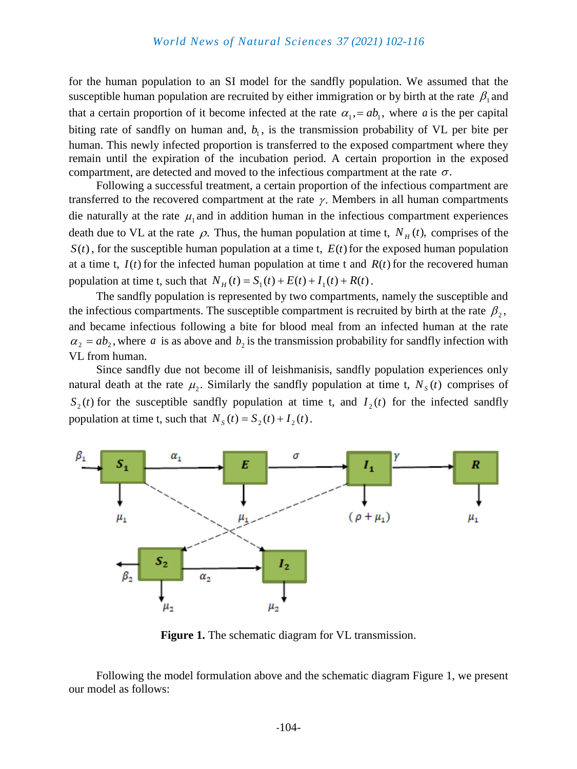for the human population to an SI model for the sandfly population. We assumed that the susceptible human population are recruited by either immigration or by birth at the rate  $\beta_1$  and that a certain proportion of it become infected at the rate  $\alpha_1 = ab_1$ , where a is the per capital biting rate of sandfly on human and,  $b<sub>1</sub>$ , is the transmission probability of VL per bite per human. This newly infected proportion is transferred to the exposed compartment where they remain until the expiration of the incubation period. A certain proportion in the exposed compartment, are detected and moved to the infectious compartment at the rate  $\sigma$ .

Following a successful treatment, a certain proportion of the infectious compartment are transferred to the recovered compartment at the rate  $\gamma$ . Members in all human compartments die naturally at the rate  $\mu_1$  and in addition human in the infectious compartment experiences death due to VL at the rate  $\rho$ . Thus, the human population at time t,  $N_H(t)$ , comprises of the  $S(t)$ , for the susceptible human population at a time t,  $E(t)$  for the exposed human population at a time t,  $I(t)$  for the infected human population at time t and  $R(t)$  for the recovered human population at time t, such that  $N_H(t) = S_1(t) + E(t) + I_1(t) + R(t)$ .

The sandfly population is represented by two compartments, namely the susceptible and the infectious compartments. The susceptible compartment is recruited by birth at the rate  $\beta_2$ , and became infectious following a bite for blood meal from an infected human at the rate  $\alpha_2 = ab_2$ , where a is as above and  $b_2$  is the transmission probability for sandfly infection with VL from human.

Since sandfly due not become ill of leishmanisis, sandfly population experiences only natural death at the rate  $\mu_2$ . Similarly the sandfly population at time t,  $N_s(t)$  comprises of  $S_2(t)$  for the susceptible sandfly population at time t, and  $I_2(t)$  for the infected sandfly population at time t, such that  $N_s(t) = S_2(t) + I_2(t)$ .



**Figure 1.** The schematic diagram for VL transmission.

Following the model formulation above and the schematic diagram Figure 1, we present our model as follows: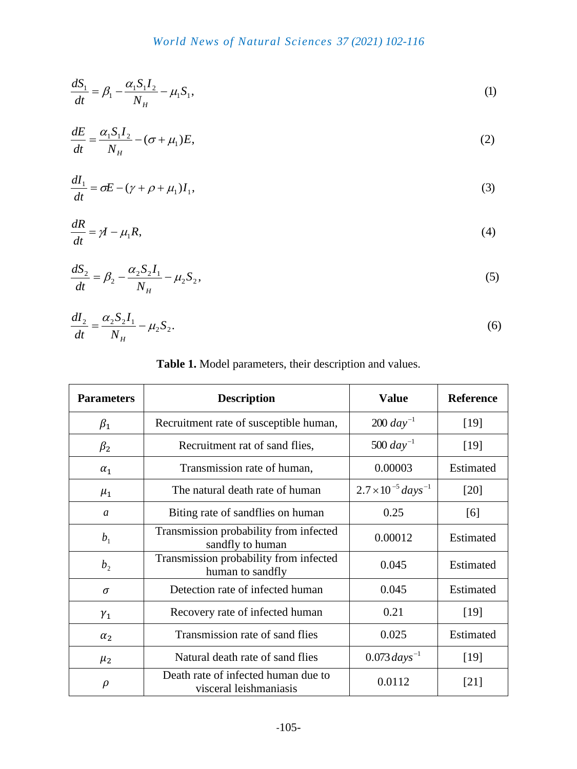$$
\frac{dS_1}{dt} = \beta_1 - \frac{\alpha_1 S_1 I_2}{N_H} - \mu_1 S_1,\tag{1}
$$

$$
\frac{dE}{dt} = \frac{\alpha_1 S_1 I_2}{N_H} - (\sigma + \mu_1) E,\tag{2}
$$

$$
\frac{dI_1}{dt} = \sigma E - (\gamma + \rho + \mu_1)I_1,\tag{3}
$$

$$
\frac{dR}{dt} = \gamma I - \mu_1 R,\tag{4}
$$

$$
\frac{dS_2}{dt} = \beta_2 - \frac{\alpha_2 S_2 I_1}{N_H} - \mu_2 S_2,\tag{5}
$$

$$
\frac{dI_2}{dt} = \frac{\alpha_2 S_2 I_1}{N_H} - \mu_2 S_2.
$$
\n(6)

## **Table 1.** Model parameters, their description and values.

| <b>Parameters</b> | <b>Description</b>                                            | <b>Value</b>                      | <b>Reference</b> |
|-------------------|---------------------------------------------------------------|-----------------------------------|------------------|
| $\beta_1$         | Recruitment rate of susceptible human,                        | $200 \, day^{-1}$                 | $[19]$           |
| $\beta_2$         | Recruitment rat of sand flies,                                | 500 $day^{-1}$                    | [19]             |
| $\alpha_1$        | Transmission rate of human,                                   | 0.00003                           | Estimated        |
| $\mu_1$           | The natural death rate of human                               | $2.7 \times 10^{-5} \, days^{-1}$ | $[20]$           |
| a                 | Biting rate of sandflies on human                             | 0.25                              | [6]              |
| b <sub>1</sub>    | Transmission probability from infected<br>sandfly to human    | 0.00012                           | Estimated        |
| b <sub>2</sub>    | Transmission probability from infected<br>human to sandfly    | 0.045                             | Estimated        |
| $\sigma$          | Detection rate of infected human                              | 0.045                             | Estimated        |
| $\gamma_1$        | Recovery rate of infected human                               | 0.21                              | [19]             |
| $\alpha_2$        | Transmission rate of sand flies                               | 0.025                             | Estimated        |
| $\mu_2$           | Natural death rate of sand flies                              | $0.073 \, days^{-1}$              | $[19]$           |
| $\rho$            | Death rate of infected human due to<br>visceral leishmaniasis | 0.0112                            | $[21]$           |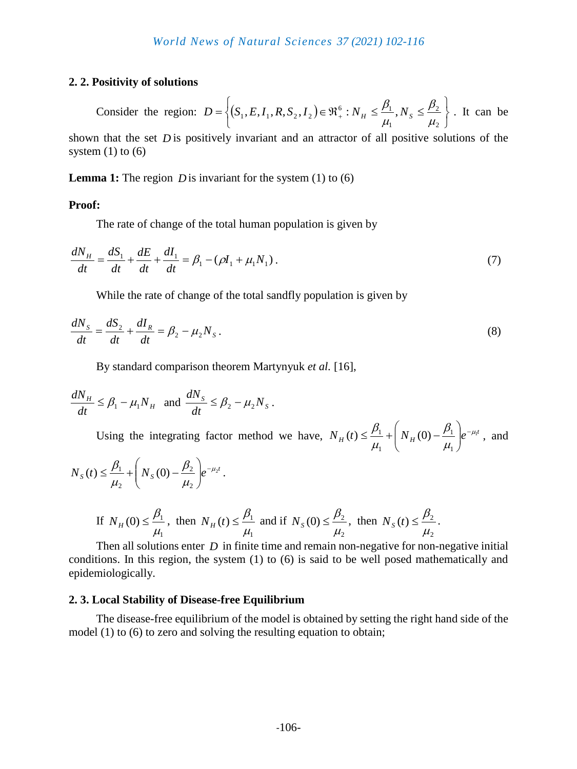## **2. 2. Positivity of solutions**

Consider the region:  $D = \{(S_1, E, I_1, R, S_2, I_2)\}$  $\int$  $\left\{ \right\}$  $\vert$  $\overline{\mathcal{L}}$ ⇃  $\int$  $=\left\{ (S_1, E, I_1, R, S_2, I_2) \in \Re_+^6 : N_H \leq \frac{P_1}{P_1}, N_S \leq \frac{P_2}{P_2} \right\}$ 2 2  $\overline{1}$  $\mathcal{F}_1, E, I_1, R, S_2, I_2$   $\in \mathfrak{R}^6_+ : N_H \leq \frac{\mu_1}{\mu_2},$  $\mu$  $\beta$  $\mu$  $D = \left\{ (S_1, E, I_1, R, S_2, I_2) \in \Re_+^6 : N_H \leq \frac{\beta_1}{N_H}, N_S \leq \frac{\beta_2}{N_H} \right\}$ . It can be shown that the set *D* is positively invariant and an attractor of all positive solutions of the system  $(1)$  to  $(6)$ 

**Lemma 1:** The region  $D$  is invariant for the system  $(1)$  to  $(6)$ 

## **Proof:**

The rate of change of the total human population is given by

$$
\frac{dN_H}{dt} = \frac{dS_1}{dt} + \frac{dE}{dt} + \frac{dI_1}{dt} = \beta_1 - (\rho I_1 + \mu_1 N_1).
$$
\n(7)

While the rate of change of the total sandfly population is given by

$$
\frac{dN_{S}}{dt} = \frac{dS_{2}}{dt} + \frac{dI_{R}}{dt} = \beta_{2} - \mu_{2}N_{S}.
$$
\n(8)

By standard comparison theorem Martynyuk *et al.* [16],

$$
\frac{dN_H}{dt} \le \beta_1 - \mu_1 N_H \text{ and } \frac{dN_S}{dt} \le \beta_2 - \mu_2 N_S.
$$

Using the integrating factor method we have,  $N_H(t) \leq \frac{p_1}{t} + N_H(0) - \frac{p_1}{t} e^{-\mu_1 t}$  $\overline{1}$ 1 1  $(t) \leq \frac{P_1}{P_1} + |N_H(0) - \frac{P_1}{P_1}|e^{-\mu}$  $\mu$  $\beta$  $\mu$  $\beta_1$   $\begin{pmatrix} 0 & \beta_1 \end{pmatrix}$  $\overline{\phantom{a}}$  $\bigg)$  $\setminus$  $\overline{\phantom{a}}$  $\setminus$ ſ  $\leq \frac{P_1}{P_1} + |N_H(0) - \frac{P_1}{P_1}|e^{-\mu_1 t}$ , and

$$
N_{s}(t) \leq \frac{\beta_{1}}{\mu_{2}} + \left(N_{s}(0) - \frac{\beta_{2}}{\mu_{2}}\right) e^{-\mu_{2}t}.
$$
  
If  $N_{H}(0) \leq \frac{\beta_{1}}{\mu_{1}}$ , then  $N_{H}(t) \leq \frac{\beta_{1}}{\mu_{1}}$  and if  $N_{s}(0) \leq \frac{\beta_{2}}{\mu_{2}}$ , then  $N_{s}(t) \leq \frac{\beta_{2}}{\mu_{2}}$ .

Then all solutions enter *D* in finite time and remain non-negative for non-negative initial conditions. In this region, the system (1) to (6) is said to be well posed mathematically and epidemiologically.

2

#### **2. 3. Local Stability of Disease-free Equilibrium**

The disease-free equilibrium of the model is obtained by setting the right hand side of the model (1) to (6) to zero and solving the resulting equation to obtain;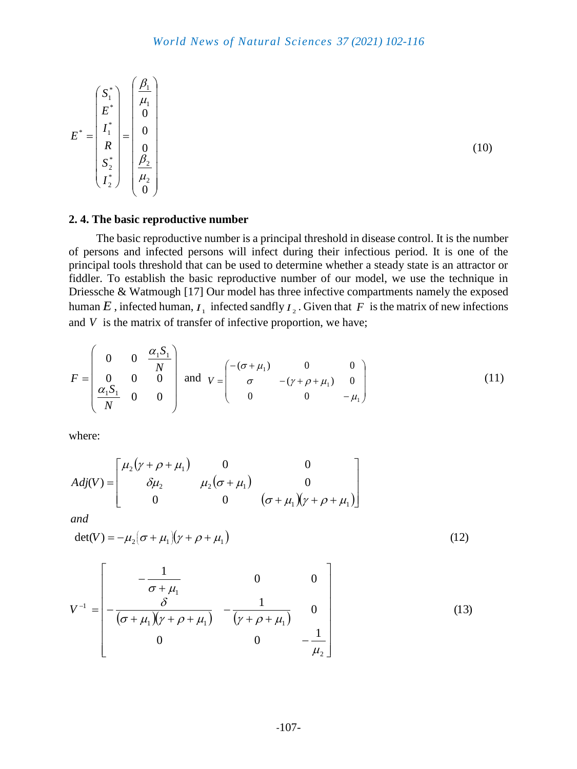$$
E^* = \begin{pmatrix} S_1^* \\ E^* \\ I_1^* \\ R \\ S_2^* \\ I_2^* \end{pmatrix} = \begin{pmatrix} \frac{\beta_1}{\mu_1} \\ 0 \\ 0 \\ 0 \\ \frac{\beta_2}{\mu_2} \\ 0 \end{pmatrix}
$$

(10)

## **2. 4. The basic reproductive number**

The basic reproductive number is a principal threshold in disease control. It is the number of persons and infected persons will infect during their infectious period. It is one of the principal tools threshold that can be used to determine whether a steady state is an attractor or fiddler. To establish the basic reproductive number of our model, we use the technique in Driessche & Watmough [17] Our model has three infective compartments namely the exposed human  $E$ , infected human,  $I_1$  infected sandfly  $I_2$ . Given that  $F$  is the matrix of new infections and  $V$  is the matrix of transfer of infective proportion, we have;

$$
F = \begin{pmatrix} 0 & 0 & \frac{\alpha_1 S_1}{N} \\ 0 & 0 & 0 \\ \frac{\alpha_1 S_1}{N} & 0 & 0 \end{pmatrix} \text{ and } V = \begin{pmatrix} -(\sigma + \mu_1) & 0 & 0 \\ \sigma & -(\gamma + \rho + \mu_1) & 0 \\ 0 & 0 & -\mu_1 \end{pmatrix}
$$
(11)

where:

$$
Adj(V) = \begin{bmatrix} \mu_2(y + \rho + \mu_1) & 0 & 0 \\ \delta \mu_2 & \mu_2(\sigma + \mu_1) & 0 \\ 0 & 0 & (\sigma + \mu_1)(y + \rho + \mu_1) \end{bmatrix}
$$

*and*

$$
\det(V) = -\mu_2 \big( \sigma + \mu_1 \big) \big( \gamma + \rho + \mu_1 \big) \tag{12}
$$

$$
V^{-1} = \begin{bmatrix} -\frac{1}{\sigma + \mu_1} & 0 & 0 \\ -\frac{\delta}{(\sigma + \mu_1)(\gamma + \rho + \mu_1)} & -\frac{1}{(\gamma + \rho + \mu_1)} & 0 \\ 0 & 0 & -\frac{1}{\mu_2} \end{bmatrix}
$$
(13)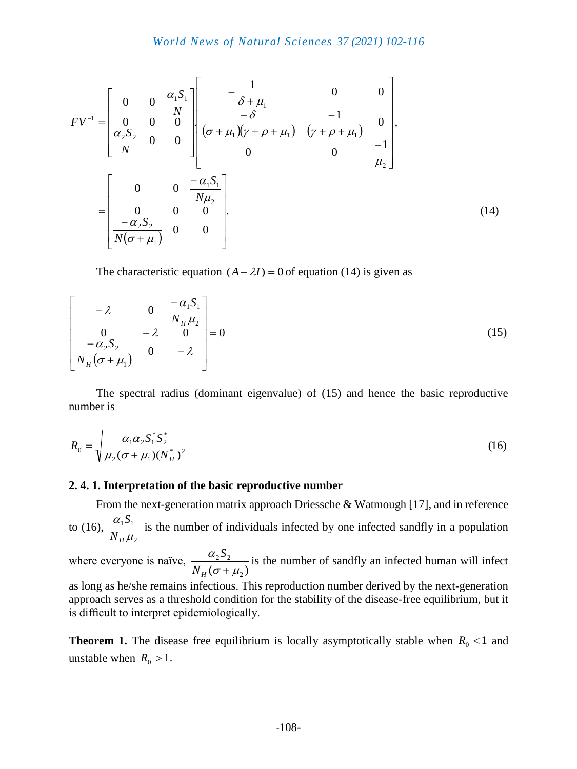$$
FV^{-1} = \begin{bmatrix} 0 & 0 & \frac{\alpha_1 S_1}{N} \\ 0 & 0 & 0 \\ \frac{\alpha_2 S_2}{N} & 0 & 0 \end{bmatrix} \begin{bmatrix} -\frac{1}{\delta + \mu_1} & 0 & 0 \\ \frac{-\delta}{(\sigma + \mu_1)(\gamma + \rho + \mu_1)} & \frac{-1}{(\gamma + \rho + \mu_1)} & 0 \\ 0 & 0 & \frac{-1}{\mu_2} \end{bmatrix},
$$
  

$$
= \begin{bmatrix} 0 & 0 & \frac{-\alpha_1 S_1}{N\mu_2} \\ 0 & 0 & 0 \\ \frac{-\alpha_2 S_2}{N(\sigma + \mu_1)} & 0 & 0 \end{bmatrix}.
$$
 (14)

The characteristic equation  $(A - \lambda I) = 0$  of equation (14) is given as

$$
\begin{bmatrix}\n-\lambda & 0 & \frac{-\alpha_1 S_1}{N_H \mu_2} \\
0 & -\lambda & 0 \\
\frac{-\alpha_2 S_2}{N_H (\sigma + \mu_1)} & 0 & -\lambda\n\end{bmatrix} = 0
$$
\n(15)

The spectral radius (dominant eigenvalue) of (15) and hence the basic reproductive number is

number is  
\n
$$
R_0 = \sqrt{\frac{\alpha_1 \alpha_2 S_1^* S_2^*}{\mu_2 (\sigma + \mu_1)(N_H^*)^2}}
$$
\n(16)

## **2. 4. 1. Interpretation of the basic reproductive number**

From the next-generation matrix approach Driessche & Watmough [17], and in reference to (16), 2  $1^{\cup}1$  $\mu$ α  $N$ <sub>H</sub>  $S_1$  is the number of individuals infected by one infected sandfly in a population

where everyone is naïve,  $(\sigma + \mu_2)$  $2^{\omega}$ <sub>2</sub>  $\sigma$  +  $\mu$ α  $N_H$ ( $\sigma$ +  $S_2$  is the number of sandfly an infected human will infect

as long as he/she remains infectious. This reproduction number derived by the next-generation approach serves as a threshold condition for the stability of the disease-free equilibrium, but it is difficult to interpret epidemiologically.

**Theorem 1.** The disease free equilibrium is locally asymptotically stable when  $R_0 < 1$  and unstable when  $R_0 > 1$ .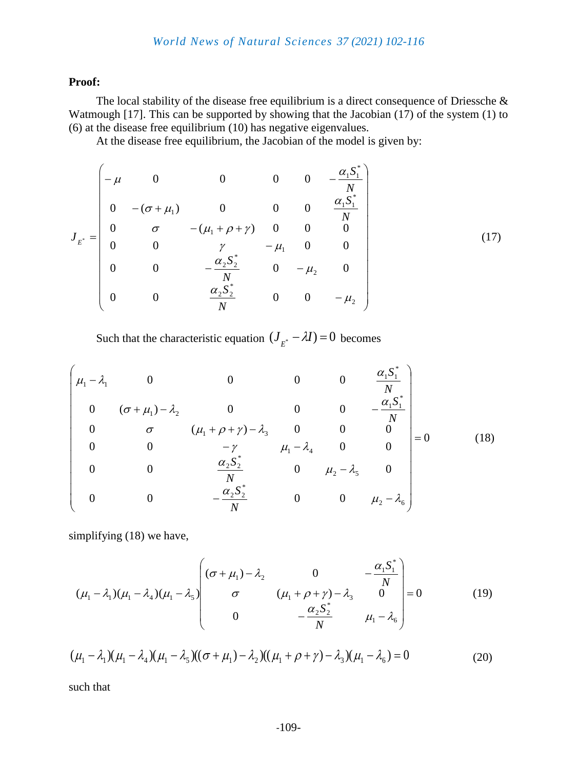## *World News of Natural Sciences 37 (2021) 102-116*

#### **Proof:**

The local stability of the disease free equilibrium is a direct consequence of Driessche & Watmough [17]. This can be supported by showing that the Jacobian (17) of the system (1) to (6) at the disease free equilibrium (10) has negative eigenvalues.

At the disease free equilibrium, the Jacobian of the model is given by:

$$
J_{E^*} = \begin{pmatrix}\n-\mu & 0 & 0 & 0 & 0 & -\frac{\alpha_1 S_1^*}{N} \\
0 & -(\sigma + \mu_1) & 0 & 0 & 0 & \frac{\alpha_1 S_1^*}{N} \\
0 & \sigma & -(\mu_1 + \rho + \gamma) & 0 & 0 & 0 \\
0 & 0 & \gamma & -\mu_1 & 0 & 0 \\
0 & 0 & -\frac{\alpha_2 S_2^*}{N} & 0 & -\mu_2 & 0 \\
0 & 0 & \frac{\alpha_2 S_2^*}{N} & 0 & 0 & -\mu_2\n\end{pmatrix}
$$
\n(17)

Such that the characteristic equation  $(J_{E^*} - \lambda I) = 0$  becomes

$$
\begin{pmatrix}\n\mu_1 - \lambda_1 & 0 & 0 & 0 & 0 & \frac{\alpha_1 S_1^*}{N} \\
0 & (\sigma + \mu_1) - \lambda_2 & 0 & 0 & 0 & -\frac{\alpha_1 S_1^*}{N} \\
0 & \sigma & (\mu_1 + \rho + \gamma) - \lambda_3 & 0 & 0 & 0 \\
0 & 0 & -\gamma & \mu_1 - \lambda_4 & 0 & 0 \\
0 & 0 & \frac{\alpha_2 S_2^*}{N} & 0 & \mu_2 - \lambda_5 & 0 \\
0 & 0 & -\frac{\alpha_2 S_2^*}{N} & 0 & 0 & \mu_2 - \lambda_6\n\end{pmatrix} = 0
$$
\n(18)

simplifying (18) we have,

$$
(\mu_1 - \lambda_1)(\mu_1 - \lambda_4)(\mu_1 - \lambda_5) \begin{pmatrix} (\sigma + \mu_1) - \lambda_2 & 0 & -\frac{\alpha_1 S_1^*}{N} \\ \sigma & (\mu_1 + \rho + \gamma) - \lambda_3 & 0 \\ 0 & -\frac{\alpha_2 S_2^*}{N} & \mu_1 - \lambda_6 \end{pmatrix} = 0
$$
 (19)

$$
(\mu_1 - \lambda_1)(\mu_1 - \lambda_4)(\mu_1 - \lambda_5)((\sigma + \mu_1) - \lambda_2)((\mu_1 + \rho + \gamma) - \lambda_3)(\mu_1 - \lambda_6) = 0
$$
\n(20)

such that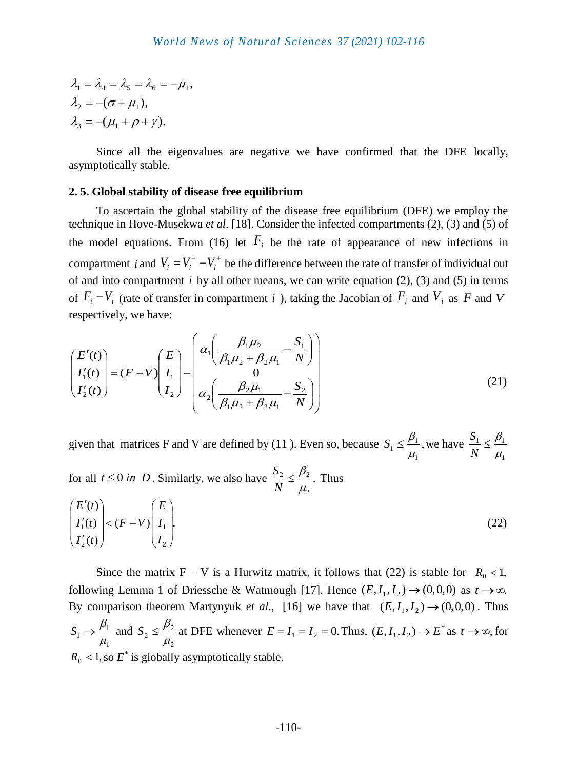$\lambda_3 = -(\mu_1 + \rho + \gamma).$  $\lambda_2 = -(\sigma + \mu_1),$  $\lambda_1 = \lambda_4 = \lambda_5 = \lambda_6 = -\mu_1$ ,

Since all the eigenvalues are negative we have confirmed that the DFE locally, asymptotically stable.

## **2. 5. Global stability of disease free equilibrium**

To ascertain the global stability of the disease free equilibrium (DFE) we employ the technique in Hove-Musekwa *et al*. [18]. Consider the infected compartments (2), (3) and (5) of the model equations. From (16) let  $F_i$  be the rate of appearance of new infections in compartment *i* and  $V_i = V_i^- - V_i^+$  be the difference between the rate of transfer of individual out of and into compartment  $i$  by all other means, we can write equation  $(2)$ ,  $(3)$  and  $(5)$  in terms of  $F_i - V_i$  (rate of transfer in compartment *i*), taking the Jacobian of  $F_i$  and  $V_i$  as  $F$  and  $V$ respectively, we have:

$$
\begin{pmatrix} E'(t) \\ I'_1(t) \\ I'_2(t) \end{pmatrix} = (F - V) \begin{pmatrix} E \\ I_1 \\ I_2 \end{pmatrix} - \begin{pmatrix} \alpha_1 \left( \frac{\beta_1 \mu_2}{\beta_1 \mu_2 + \beta_2 \mu_1} - \frac{S_1}{N} \right) \\ 0 \\ \alpha_2 \left( \frac{\beta_2 \mu_1}{\beta_1 \mu_2 + \beta_2 \mu_1} - \frac{S_2}{N} \right) \end{pmatrix}
$$
(21)

given that matrices F and V are defined by (11). Even so, because  $S_1 \leq \frac{p_1}{q_1}$ , 1 1  $1 - \mu$  $S_1 \leq \frac{\beta_1}{\beta_1}$ , we have  $\overline{1}$  $1 \times P_1$  $\mu$  $\leq \frac{\beta}{\cdot}$ *N S*

for all  $t \le 0$  *in* D. Similarly, we also have  $\frac{b_2}{b_1} \le \frac{\mu_2}{c_2}$ . 2 2  $\mu$   $\mu$  $\mu$  $\leq \frac{\beta_2}{\beta}$ *N*  $\frac{S_2}{S} \leq \frac{\beta_2}{S}$ . Thus

$$
\begin{pmatrix} E'(t) \\ I'_1(t) \\ I'_2(t) \end{pmatrix} < (F - V) \begin{pmatrix} E \\ I_1 \\ I_2 \end{pmatrix}.
$$
\n(22)

Since the matrix  $F - V$  is a Hurwitz matrix, it follows that (22) is stable for  $R_0 < 1$ , following Lemma 1 of Driessche & Watmough [17]. Hence  $(E, I_1, I_2) \rightarrow (0,0,0)$  as  $t \rightarrow \infty$ . By comparison theorem Martynyuk *et al.*, [16] we have that  $(E, I_1, I_2) \rightarrow (0,0,0)$ . Thus 1 1  $1 - \mu$  $S_1 \rightarrow \frac{\beta_1}{2}$  and 2 2  $2 \triangleq \overline{\mu}$  $S_2 \leq \frac{\beta_2}{\beta_1}$  at DFE whenever  $E = I_1 = I_2 = 0$ . Thus,  $(E, I_1, I_2) \rightarrow E^*$  $(E, I_1, I_2) \to E^*$  as  $t \to \infty$ , for  $R_0$  < 1, so  $E^*$  is globally asymptotically stable.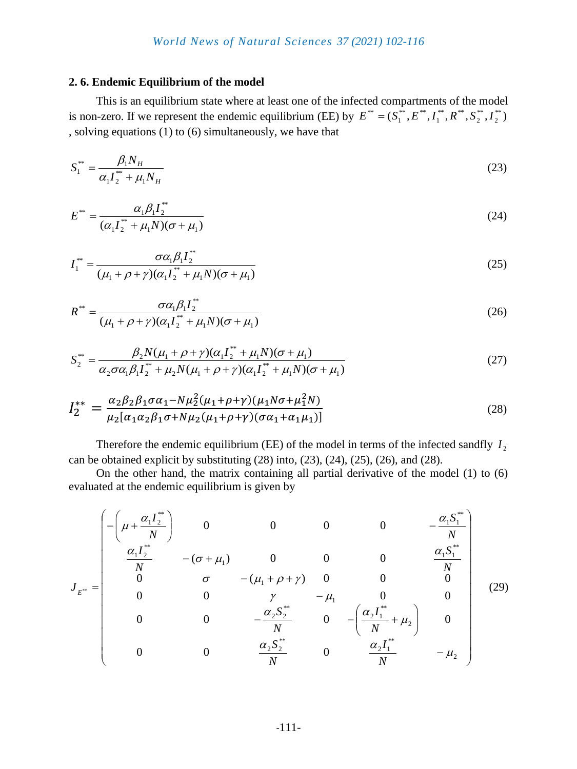## **2. 6. Endemic Equilibrium of the model**

This is an equilibrium state where at least one of the infected compartments of the model is non-zero. If we represent the endemic equilibrium (EE) by  $E^{**} = (S^{**}_1, E^{**}, I^{**}_1, R^{**}, S^{**}_2, I^{**}_2)$ 2 \*\* 2  $\overset{**}{\bullet}$   $\mathbf{D}^{**}$ 1  $\overset{**}{\phantom{o}}\, \bm{\mathit{\Gamma}}^{**}$  $E^{**} = (S_1^{**}, E^{**}, I_1^{**}, R^{**}, S_2^{**}, I_1^{**})$ , solving equations (1) to (6) simultaneously, we have that

$$
S_1^{**} = \frac{\beta_1 N_H}{\alpha_1 I_2^{**} + \mu_1 N_H} \tag{23}
$$

$$
E^{**} = \frac{\alpha_1 \beta_1 I_2^{**}}{(\alpha_1 I_2^{**} + \mu_1 N)(\sigma + \mu_1)}
$$
(24)

$$
I_1^{**} = \frac{\sigma \alpha_1 \beta_1 I_2^{**}}{(\mu_1 + \rho + \gamma)(\alpha_1 I_2^{**} + \mu_1 N)(\sigma + \mu_1)}
$$
(25)

$$
R^* = \frac{\sigma \alpha_1 \beta_1 I_2^*}{(\mu_1 + \rho + \gamma)(\alpha_1 I_2^* + \mu_1 N)(\sigma + \mu_1)}
$$
(26)

$$
(\mu_1 + \rho + \gamma)(\alpha_1 I_2^+ + \mu_1 N)(\sigma + \mu_1)
$$
  

$$
S_2^* = \frac{\beta_2 N(\mu_1 + \rho + \gamma)(\alpha_1 I_2^* + \mu_1 N)(\sigma + \mu_1)}{\alpha_2 \sigma \alpha_1 \beta_1 I_2^* + \mu_2 N(\mu_1 + \rho + \gamma)(\alpha_1 I_2^* + \mu_1 N)(\sigma + \mu_1)}
$$
(27)

$$
I_2^{**} = \frac{\alpha_2 \beta_2 \beta_1 \sigma \alpha_1 - N \mu_2^2 (\mu_1 + \rho + \gamma)(\mu_1 N \sigma + \mu_1^2 N)}{\mu_2 [\alpha_1 \alpha_2 \beta_1 \sigma + N \mu_2 (\mu_1 + \rho + \gamma)(\sigma \alpha_1 + \alpha_1 \mu_1)]}
$$
(28)

Therefore the endemic equilibrium (EE) of the model in terms of the infected sandfly  $I_2$ can be obtained explicit by substituting  $(28)$  into,  $(23)$ ,  $(24)$ ,  $(25)$ ,  $(26)$ , and  $(28)$ .

On the other hand, the matrix containing all partial derivative of the model (1) to (6) evaluated at the endemic equilibrium is given by

$$
J_{E^{**}} = \begin{pmatrix}\n-\left(\mu + \frac{\alpha_1 I_2^{**}}{N}\right) & 0 & 0 & 0 & 0 & -\frac{\alpha_1 S_1^{**}}{N} \\
\frac{\alpha_1 I_2^{**}}{N} & -(\sigma + \mu_1) & 0 & 0 & 0 & \frac{\alpha_1 S_1^{**}}{N} \\
0 & \sigma & -(\mu_1 + \rho + \gamma) & 0 & 0 & 0 \\
0 & 0 & \gamma & -\mu_1 & 0 & 0 \\
0 & 0 & -\frac{\alpha_2 S_2^{**}}{N} & 0 & -\left(\frac{\alpha_2 I_1^{**}}{N} + \mu_2\right) & 0 \\
0 & 0 & \frac{\alpha_2 S_2^{**}}{N} & 0 & \frac{\alpha_2 I_1^{**}}{N} & -\mu_2\n\end{pmatrix}
$$
\n(29)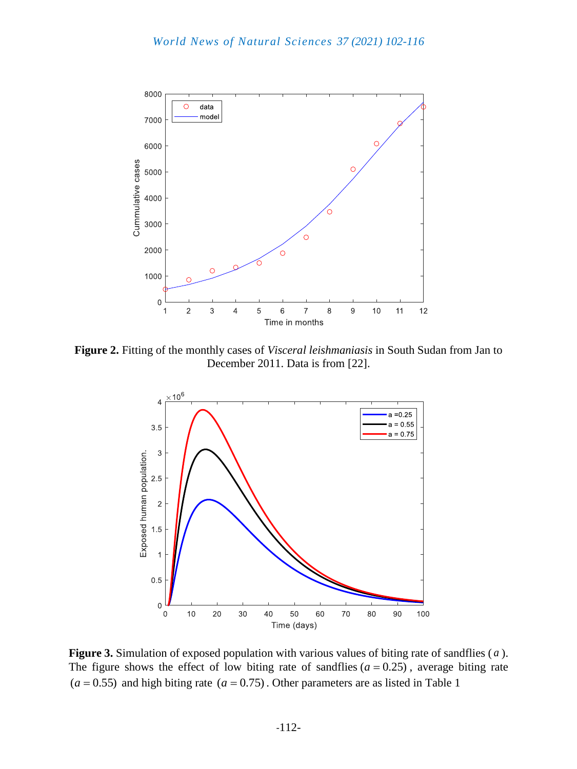

**Figure 2.** Fitting of the monthly cases of *Visceral leishmaniasis* in South Sudan from Jan to December 2011. Data is from [22].



**Figure 3.** Simulation of exposed population with various values of biting rate of sandflies ( *a* ). The figure shows the effect of low biting rate of sandflies  $(a = 0.25)$ , average biting rate  $(a = 0.55)$  and high biting rate  $(a = 0.75)$ . Other parameters are as listed in Table 1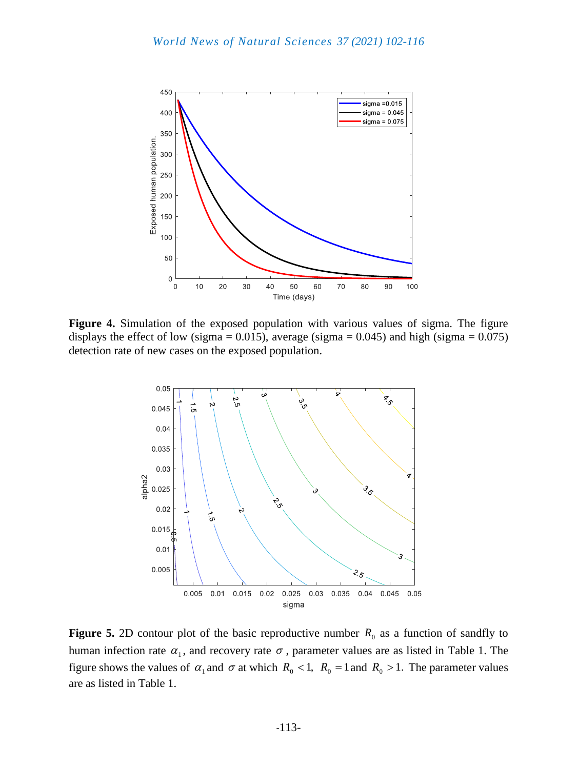

**Figure 4.** Simulation of the exposed population with various values of sigma. The figure displays the effect of low (sigma =  $0.015$ ), average (sigma =  $0.045$ ) and high (sigma =  $0.075$ ) detection rate of new cases on the exposed population.



**Figure 5.** 2D contour plot of the basic reproductive number  $R_0$  as a function of sandfly to human infection rate  $\alpha_1$ , and recovery rate  $\sigma$ , parameter values are as listed in Table 1. The figure shows the values of  $\alpha_1$  and  $\sigma$  at which  $R_0 < 1$ ,  $R_0 = 1$  and  $R_0 > 1$ . The parameter values are as listed in Table 1.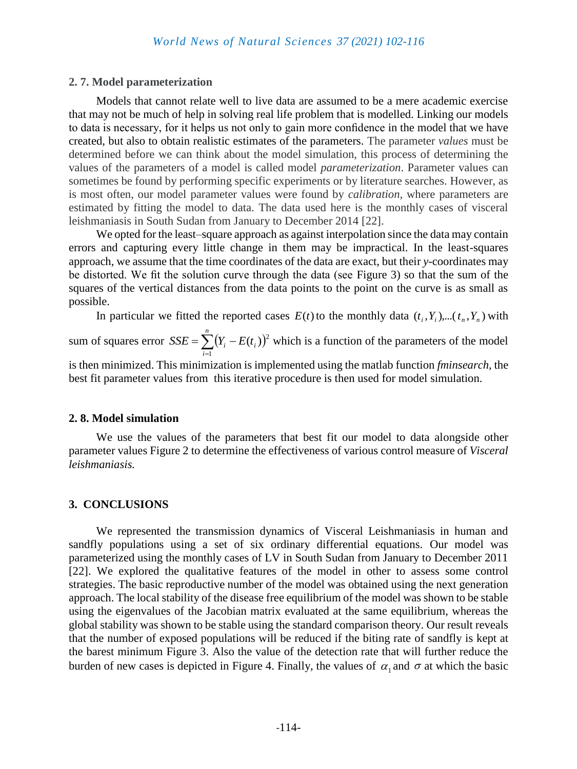## **2. 7. Model parameterization**

Models that cannot relate well to live data are assumed to be a mere academic exercise that may not be much of help in solving real life problem that is modelled. Linking our models to data is necessary, for it helps us not only to gain more confidence in the model that we have created, but also to obtain realistic estimates of the parameters. The parameter *values* must be determined before we can think about the model simulation, this process of determining the values of the parameters of a model is called model *parameterization*. Parameter values can sometimes be found by performing specific experiments or by literature searches. However, as is most often, our model parameter values were found by *calibration,* where parameters are estimated by fitting the model to data. The data used here is the monthly cases of visceral leishmaniasis in South Sudan from January to December 2014 [22].

We opted for the least–square approach as against interpolation since the data may contain errors and capturing every little change in them may be impractical. In the least-squares approach, we assume that the time coordinates of the data are exact, but their *y*-coordinates may be distorted. We fit the solution curve through the data (see Figure 3) so that the sum of the squares of the vertical distances from the data points to the point on the curve is as small as possible.

In particular we fitted the reported cases  $E(t)$  to the monthly data  $(t_i, Y_i)$ ,... $(t_n, Y_n)$  with

sum of squares error  $SSE = \sum_{i=1}^{n} (Y_i - E(t_i))$  $=\sum_{i=1}^{n}(Y_{i}$ *i*  $SSE = \sum (Y_i - E(t_i))$ 1  $(t_i)$ <sup>2</sup> which is a function of the parameters of the model

is then minimized. This minimization is implemented using the matlab function *fminsearch,* the best fit parameter values from this iterative procedure is then used for model simulation.

#### **2. 8. Model simulation**

We use the values of the parameters that best fit our model to data alongside other parameter values Figure 2 to determine the effectiveness of various control measure of *Visceral leishmaniasis.* 

## **3. CONCLUSIONS**

We represented the transmission dynamics of Visceral Leishmaniasis in human and sandfly populations using a set of six ordinary differential equations. Our model was parameterized using the monthly cases of LV in South Sudan from January to December 2011 [22]. We explored the qualitative features of the model in other to assess some control strategies. The basic reproductive number of the model was obtained using the next generation approach. The local stability of the disease free equilibrium of the model was shown to be stable using the eigenvalues of the Jacobian matrix evaluated at the same equilibrium, whereas the global stability was shown to be stable using the standard comparison theory. Our result reveals that the number of exposed populations will be reduced if the biting rate of sandfly is kept at the barest minimum Figure 3. Also the value of the detection rate that will further reduce the burden of new cases is depicted in Figure 4. Finally, the values of  $\alpha_1$  and  $\sigma$  at which the basic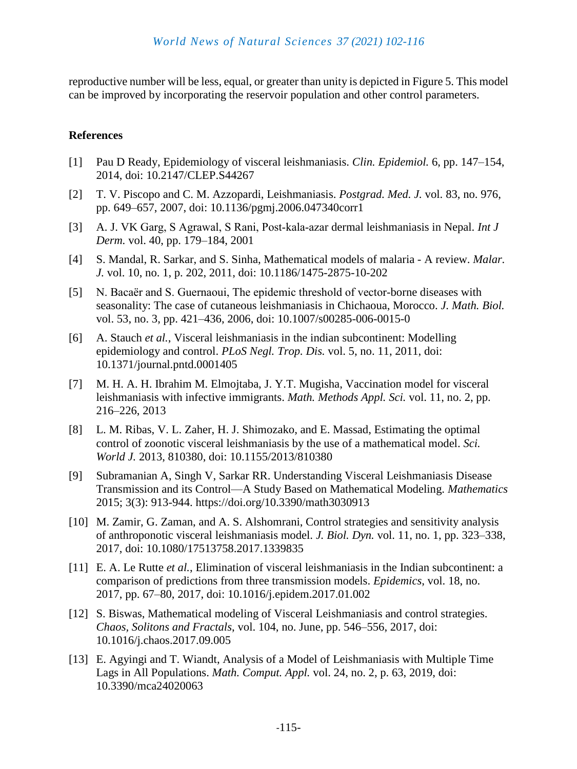reproductive number will be less, equal, or greater than unity is depicted in Figure 5. This model can be improved by incorporating the reservoir population and other control parameters.

## **References**

- [1] Pau D Ready, Epidemiology of visceral leishmaniasis. *Clin. Epidemiol.* 6, pp. 147–154, 2014, doi: 10.2147/CLEP.S44267
- [2] T. V. Piscopo and C. M. Azzopardi, Leishmaniasis. *Postgrad. Med. J.* vol. 83, no. 976, pp. 649–657, 2007, doi: 10.1136/pgmj.2006.047340corr1
- [3] A. J. VK Garg, S Agrawal, S Rani, Post‐kala‐azar dermal leishmaniasis in Nepal. *Int J Derm.* vol. 40, pp. 179–184, 2001
- [4] S. Mandal, R. Sarkar, and S. Sinha, Mathematical models of malaria A review. *Malar. J.* vol. 10, no. 1, p. 202, 2011, doi: 10.1186/1475-2875-10-202
- [5] N. Bacaër and S. Guernaoui, The epidemic threshold of vector-borne diseases with seasonality: The case of cutaneous leishmaniasis in Chichaoua, Morocco. *J. Math. Biol.* vol. 53, no. 3, pp. 421–436, 2006, doi: 10.1007/s00285-006-0015-0
- [6] A. Stauch *et al.*, Visceral leishmaniasis in the indian subcontinent: Modelling epidemiology and control. *PLoS Negl. Trop. Dis.* vol. 5, no. 11, 2011, doi: 10.1371/journal.pntd.0001405
- [7] M. H. A. H. Ibrahim M. Elmojtaba, J. Y.T. Mugisha, Vaccination model for visceral leishmaniasis with infective immigrants. *Math. Methods Appl. Sci.* vol. 11, no. 2, pp. 216–226, 2013
- [8] L. M. Ribas, V. L. Zaher, H. J. Shimozako, and E. Massad, Estimating the optimal control of zoonotic visceral leishmaniasis by the use of a mathematical model. *Sci. World J.* 2013, 810380, doi: 10.1155/2013/810380
- [9] Subramanian A, Singh V, Sarkar RR. Understanding Visceral Leishmaniasis Disease Transmission and its Control—A Study Based on Mathematical Modeling. *Mathematics* 2015; 3(3): 913-944. https://doi.org/10.3390/math3030913
- [10] M. Zamir, G. Zaman, and A. S. Alshomrani, Control strategies and sensitivity analysis of anthroponotic visceral leishmaniasis model. *J. Biol. Dyn.* vol. 11, no. 1, pp. 323–338, 2017, doi: 10.1080/17513758.2017.1339835
- [11] E. A. Le Rutte *et al.*, Elimination of visceral leishmaniasis in the Indian subcontinent: a comparison of predictions from three transmission models. *Epidemics*, vol. 18, no. 2017, pp. 67–80, 2017, doi: 10.1016/j.epidem.2017.01.002
- [12] S. Biswas, Mathematical modeling of Visceral Leishmaniasis and control strategies. *Chaos, Solitons and Fractals*, vol. 104, no. June, pp. 546–556, 2017, doi: 10.1016/j.chaos.2017.09.005
- [13] E. Agyingi and T. Wiandt, Analysis of a Model of Leishmaniasis with Multiple Time Lags in All Populations. *Math. Comput. Appl.* vol. 24, no. 2, p. 63, 2019, doi: 10.3390/mca24020063